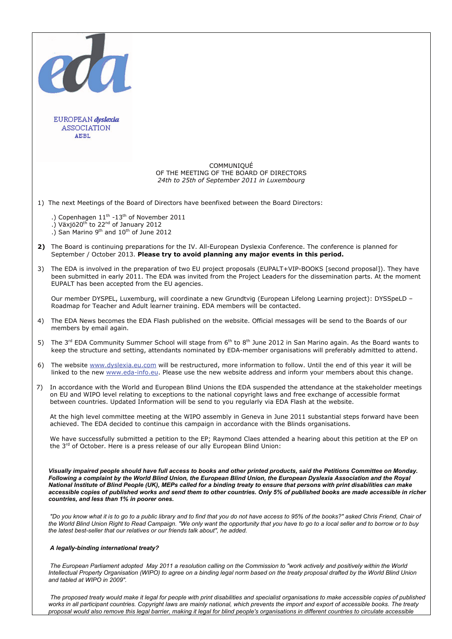|                                                                                            | 200                                                                                                                                                                                                                                                                                                                                                                                                                                                                                                                                                                               |
|--------------------------------------------------------------------------------------------|-----------------------------------------------------------------------------------------------------------------------------------------------------------------------------------------------------------------------------------------------------------------------------------------------------------------------------------------------------------------------------------------------------------------------------------------------------------------------------------------------------------------------------------------------------------------------------------|
|                                                                                            | EUROPEAN dyslexia<br><b>ASSOCIATION</b><br>ANBL                                                                                                                                                                                                                                                                                                                                                                                                                                                                                                                                   |
|                                                                                            | COMMUNIQUÉ<br>OF THE MEETING OF THE BOARD OF DIRECTORS<br>24th to 25th of September 2011 in Luxembourg                                                                                                                                                                                                                                                                                                                                                                                                                                                                            |
| 1) The next Meetings of the Board of Directors have beenfixed between the Board Directors: |                                                                                                                                                                                                                                                                                                                                                                                                                                                                                                                                                                                   |
|                                                                                            | .) Copenhagen 11 <sup>th</sup> -13 <sup>th</sup> of November 2011<br>.) Växjö20 <sup>th</sup> to 22 <sup>nd</sup> of January 2012<br>.) San Marino 9 <sup>th</sup> and 10 <sup>th</sup> of June 2012                                                                                                                                                                                                                                                                                                                                                                              |
| 2)                                                                                         | The Board is continuing preparations for the IV. All-European Dyslexia Conference. The conference is planned for<br>September / October 2013. Please try to avoid planning any major events in this period.                                                                                                                                                                                                                                                                                                                                                                       |
| 3)                                                                                         | The EDA is involved in the preparation of two EU project proposals (EUPALT+VIP-BOOKS [second proposal]). They have<br>been submitted in early 2011. The EDA was invited from the Project Leaders for the dissemination parts. At the moment<br>EUPALT has been accepted from the EU agencies.                                                                                                                                                                                                                                                                                     |
|                                                                                            | Our member DYSPEL, Luxemburg, will coordinate a new Grundtvig (European Lifelong Learning project): DYSSpeLD -<br>Roadmap for Teacher and Adult learner training. EDA members will be contacted.                                                                                                                                                                                                                                                                                                                                                                                  |
| 4)                                                                                         | The EDA News becomes the EDA Flash published on the website. Official messages will be send to the Boards of our<br>members by email again.                                                                                                                                                                                                                                                                                                                                                                                                                                       |
| 5)                                                                                         | The $3^{rd}$ EDA Community Summer School will stage from $6^{th}$ to $8^{th}$ June 2012 in San Marino again. As the Board wants to<br>keep the structure and setting, attendants nominated by EDA-member organisations will preferably admitted to attend.                                                                                                                                                                                                                                                                                                                        |
| 6)                                                                                         | The website www.dyslexia.eu.com will be restructured, more information to follow. Until the end of this year it will be<br>linked to the new <b>www.eda-info.eu</b> . Please use the new website address and inform your members about this change.                                                                                                                                                                                                                                                                                                                               |
| 7)                                                                                         | In accordance with the World and European Blind Unions the EDA suspended the attendance at the stakeholder meetings<br>on EU and WIPO level relating to exceptions to the national copyright laws and free exchange of accessible format<br>between countries. Updated Information will be send to you regularly via EDA Flash at the website.                                                                                                                                                                                                                                    |
|                                                                                            | At the high level committee meeting at the WIPO assembly in Geneva in June 2011 substantial steps forward have been<br>achieved. The EDA decided to continue this campaign in accordance with the Blinds organisations.                                                                                                                                                                                                                                                                                                                                                           |
|                                                                                            | We have successfully submitted a petition to the EP; Raymond Claes attended a hearing about this petition at the EP on<br>the 3 <sup>rd</sup> of October. Here is a press release of our ally European Blind Union:                                                                                                                                                                                                                                                                                                                                                               |
|                                                                                            | Visually impaired people should have full access to books and other printed products, said the Petitions Committee on Monday.<br>Following a complaint by the World Blind Union, the European Blind Union, the European Dyslexia Association and the Royal<br>National Institute of Blind People (UK), MEPs called for a binding treaty to ensure that persons with print disabilities can make<br>accessible copies of published works and send them to other countries. Only 5% of published books are made accessible in richer<br>countries, and less than 1% in poorer ones. |
|                                                                                            | "Do you know what it is to go to a public library and to find that you do not have access to 95% of the books?" asked Chris Friend, Chair of<br>the World Blind Union Right to Read Campaign. "We only want the opportunity that you have to go to a local seller and to borrow or to buy<br>the latest best-seller that our relatives or our friends talk about", he added.                                                                                                                                                                                                      |
|                                                                                            | A legally-binding international treaty?                                                                                                                                                                                                                                                                                                                                                                                                                                                                                                                                           |
|                                                                                            | The European Parliament adopted May 2011 a resolution calling on the Commission to "work actively and positively within the World<br>Intellectual Property Organisation (WIPO) to agree on a binding legal norm based on the treaty proposal drafted by the World Blind Union<br>and tabled at WIPO in 2009".                                                                                                                                                                                                                                                                     |

 *The proposed treaty would make it legal for people with print disabilities and specialist organisations to make accessible copies of published works in all participant countries. Copyright laws are mainly national, which prevents the import and export of accessible books. The treaty proposal would also remove this legal barrier, making it legal for blind people's organisations in different countries to circulate accessible*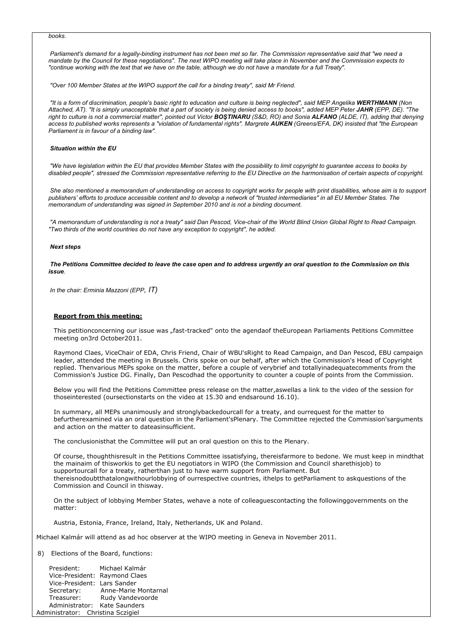## *books.*

 *Parliament's demand for a legally-binding instrument has not been met so far. The Commission representative said that "we need a mandate by the Council for these negotiations". The next WIPO meeting will take place in November and the Commission expects to "continue working with the text that we have on the table, although we do not have a mandate for a full Treaty".*

 *"Over 100 Member States at the WIPO support the call for a binding treaty", said Mr Friend.*

 *"It is a form of discrimination, people's basic right to education and culture is being neglected", said MEP Angelika WERTHMANN (Non Attached, AT). "It is simply unacceptable that a part of society is being denied access to books", added MEP Peter JAHR (EPP, DE). "The*  right to culture is not a commercial matter", pointed out Victor **BOSTINARU** (S&D, RO) and Sonia **ALFANO** (ALDE, IT), adding that denying *access to published works represents a "violation of fundamental rights". Margrete AUKEN (Greens/EFA, DK) insisted that "the European Parliament is in favour of a binding law".*

## *Situation within the EU*

 *"We have legislation within the EU that provides Member States with the possibility to limit copyright to guarantee access to books by disabled people", stressed the Commission representative referring to the EU Directive on the harmonisation of certain aspects of copyright.*

 *She also mentioned a memorandum of understanding on access to copyright works for people with print disabilities, whose aim is to support publishers' efforts to produce accessible content and to develop a network of "trusted intermediaries" in all EU Member States. The memorandum of understanding was signed in September 2010 and is not a binding document.*

 *"A memorandum of understanding is not a treaty" said Dan Pescod, Vice-chair of the World Blind Union Global Right to Read Campaign. "Two thirds of the world countries do not have any exception to copyright", he added.*

## *Next steps*

 *The Petitions Committee decided to leave the case open and to address urgently an oral question to the Commission on this issue.* 

 *In the chair: Erminia Mazzoni (EPP, IT)* 

## **Report from this meeting:**

This petitionconcerning our issue was "fast-tracked" onto the agendaof theEuropean Parliaments Petitions Committee meeting on3rd October2011.

Raymond Claes, ViceChair of EDA, Chris Friend, Chair of WBU'sRight to Read Campaign, and Dan Pescod, EBU campaign leader, attended the meeting in Brussels. Chris spoke on our behalf, after which the Commission's Head of Copyright replied. Thenvarious MEPs spoke on the matter, before a couple of verybrief and totallyinadequatecomments from the Commission's Justice DG. Finally, Dan Pescodhad the opportunity to counter a couple of points from the Commission.

Below you will find the Petitions Committee press release on the matter,aswellas a link to the video of the session for thoseinterested (oursectionstarts on the video at 15.30 and endsaround 16.10).

In summary, all MEPs unanimously and stronglybackedourcall for a treaty, and ourrequest for the matter to befurtherexamined via an oral question in the Parliament'sPlenary. The Committee rejected the Commission'sarguments and action on the matter to dateasinsufficient.

The conclusionisthat the Committee will put an oral question on this to the Plenary.

Of course, thoughthisresult in the Petitions Committee issatisfying, thereisfarmore to bedone. We must keep in mindthat the mainaim of thisworkis to get the EU negotiators in WIPO (the Commission and Council sharethisjob) to supportourcall for a treaty, ratherthan just to have warm support from Parliament. But thereisnodoubtthatalongwithourlobbying of ourrespective countries, ithelps to getParliament to askquestions of the Commission and Council in thisway.

On the subject of lobbying Member States, wehave a note of colleaguescontacting the followinggovernments on the matter:

Austria, Estonia, France, Ireland, Italy, Netherlands, UK and Poland.

Michael Kalmár will attend as ad hoc observer at the WIPO meeting in Geneva in November 2011.

8) Elections of the Board, functions:

 President: Michael Kalmár Vice-President: Raymond Claes Vice-President: Lars Sander Secretary: Anne-Marie Montarnal Treasurer: Rudy Vandevoorde Administrator: Kate Saunders Administrator: Christina Sczigiel